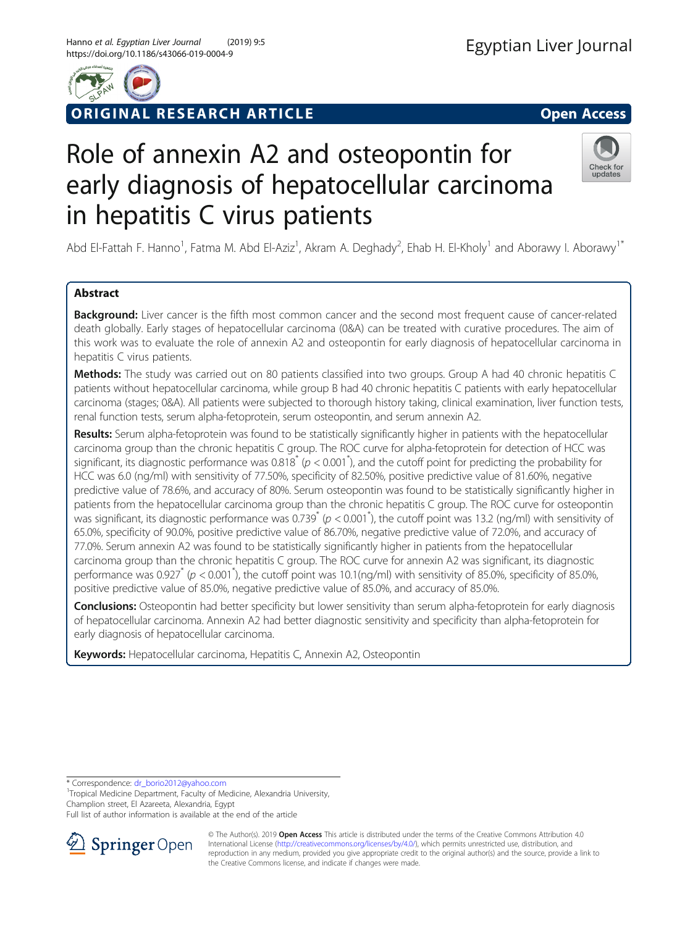

# RIGINAL RESEARCH ARTICLE **External of the Contract Contract Contract Contract Contract Contract Contract Contract Contract Contract Contract Contract Contract Contract Contract Contract Contract Contract Contract Contract**



# Role of annexin A2 and osteopontin for early diagnosis of hepatocellular carcinoma in hepatitis C virus patients



Abd El-Fattah F. Hanno<sup>1</sup>, Fatma M. Abd El-Aziz<sup>1</sup>, Akram A. Deghady<sup>2</sup>, Ehab H. El-Kholy<sup>1</sup> and Aborawy I. Aborawy<sup>1\*</sup>

# Abstract

Background: Liver cancer is the fifth most common cancer and the second most frequent cause of cancer-related death globally. Early stages of hepatocellular carcinoma (0&A) can be treated with curative procedures. The aim of this work was to evaluate the role of annexin A2 and osteopontin for early diagnosis of hepatocellular carcinoma in hepatitis C virus patients.

Methods: The study was carried out on 80 patients classified into two groups. Group A had 40 chronic hepatitis C patients without hepatocellular carcinoma, while group B had 40 chronic hepatitis C patients with early hepatocellular carcinoma (stages; 0&A). All patients were subjected to thorough history taking, clinical examination, liver function tests, renal function tests, serum alpha-fetoprotein, serum osteopontin, and serum annexin A2.

Results: Serum alpha-fetoprotein was found to be statistically significantly higher in patients with the hepatocellular carcinoma group than the chronic hepatitis C group. The ROC curve for alpha-fetoprotein for detection of HCC was significant, its diagnostic performance was  $0.818^*$  ( $p < 0.001^*$ ), and the cutoff point for predicting the probability for HCC was 6.0 (ng/ml) with sensitivity of 77.50%, specificity of 82.50%, positive predictive value of 81.60%, negative predictive value of 78.6%, and accuracy of 80%. Serum osteopontin was found to be statistically significantly higher in patients from the hepatocellular carcinoma group than the chronic hepatitis C group. The ROC curve for osteopontin .<br>was significant, its diagnostic performance was 0.739<sup>\*</sup> (p < 0.001<sup>\*</sup>), the cutoff point was 13.2 (ng/ml) with sensitivity of 65.0%, specificity of 90.0%, positive predictive value of 86.70%, negative predictive value of 72.0%, and accuracy of 77.0%. Serum annexin A2 was found to be statistically significantly higher in patients from the hepatocellular carcinoma group than the chronic hepatitis C group. The ROC curve for annexin A2 was significant, its diagnostic performance was 0.927<sup>\*</sup> (p < 0.001<sup>\*</sup>), the cutoff point was 10.1(ng/ml) with sensitivity of 85.0%, specificity of 85.0%, positive predictive value of 85.0%, negative predictive value of 85.0%, and accuracy of 85.0%.

Conclusions: Osteopontin had better specificity but lower sensitivity than serum alpha-fetoprotein for early diagnosis of hepatocellular carcinoma. Annexin A2 had better diagnostic sensitivity and specificity than alpha-fetoprotein for early diagnosis of hepatocellular carcinoma.

Keywords: Hepatocellular carcinoma, Hepatitis C, Annexin A2, Osteopontin

\* Correspondence: [dr\\_borio2012@yahoo.com](mailto:dr_borio2012@yahoo.com) <sup>1</sup>

<sup>1</sup>Tropical Medicine Department, Faculty of Medicine, Alexandria University, Champlion street, El Azareeta, Alexandria, Egypt

Full list of author information is available at the end of the article



© The Author(s). 2019 Open Access This article is distributed under the terms of the Creative Commons Attribution 4.0 International License ([http://creativecommons.org/licenses/by/4.0/\)](http://creativecommons.org/licenses/by/4.0/), which permits unrestricted use, distribution, and reproduction in any medium, provided you give appropriate credit to the original author(s) and the source, provide a link to the Creative Commons license, and indicate if changes were made.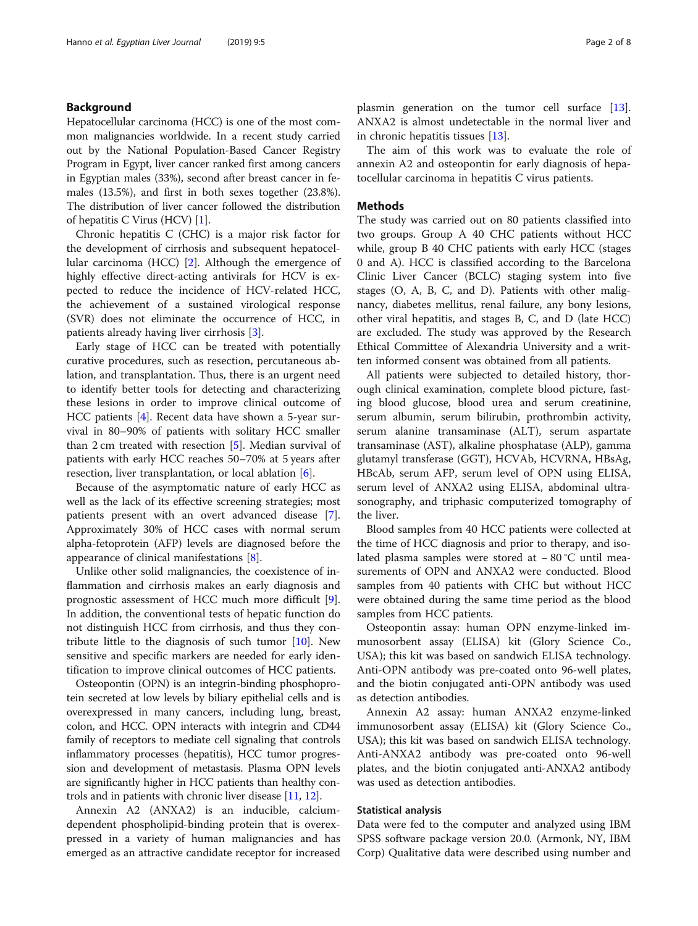# Background

Hepatocellular carcinoma (HCC) is one of the most common malignancies worldwide. In a recent study carried out by the National Population-Based Cancer Registry Program in Egypt, liver cancer ranked first among cancers in Egyptian males (33%), second after breast cancer in females (13.5%), and first in both sexes together (23.8%). The distribution of liver cancer followed the distribution of hepatitis C Virus (HCV) [[1](#page-7-0)].

Chronic hepatitis C (CHC) is a major risk factor for the development of cirrhosis and subsequent hepatocellular carcinoma (HCC) [\[2](#page-7-0)]. Although the emergence of highly effective direct-acting antivirals for HCV is expected to reduce the incidence of HCV-related HCC, the achievement of a sustained virological response (SVR) does not eliminate the occurrence of HCC, in patients already having liver cirrhosis [\[3](#page-7-0)].

Early stage of HCC can be treated with potentially curative procedures, such as resection, percutaneous ablation, and transplantation. Thus, there is an urgent need to identify better tools for detecting and characterizing these lesions in order to improve clinical outcome of HCC patients [[4\]](#page-7-0). Recent data have shown a 5-year survival in 80–90% of patients with solitary HCC smaller than 2 cm treated with resection [\[5\]](#page-7-0). Median survival of patients with early HCC reaches 50–70% at 5 years after resection, liver transplantation, or local ablation [[6\]](#page-7-0).

Because of the asymptomatic nature of early HCC as well as the lack of its effective screening strategies; most patients present with an overt advanced disease [\[7](#page-7-0)]. Approximately 30% of HCC cases with normal serum alpha-fetoprotein (AFP) levels are diagnosed before the appearance of clinical manifestations [[8](#page-7-0)].

Unlike other solid malignancies, the coexistence of inflammation and cirrhosis makes an early diagnosis and prognostic assessment of HCC much more difficult [\[9](#page-7-0)]. In addition, the conventional tests of hepatic function do not distinguish HCC from cirrhosis, and thus they contribute little to the diagnosis of such tumor [\[10](#page-7-0)]. New sensitive and specific markers are needed for early identification to improve clinical outcomes of HCC patients.

Osteopontin (OPN) is an integrin-binding phosphoprotein secreted at low levels by biliary epithelial cells and is overexpressed in many cancers, including lung, breast, colon, and HCC. OPN interacts with integrin and CD44 family of receptors to mediate cell signaling that controls inflammatory processes (hepatitis), HCC tumor progression and development of metastasis. Plasma OPN levels are significantly higher in HCC patients than healthy controls and in patients with chronic liver disease [[11](#page-7-0), [12\]](#page-7-0).

Annexin A2 (ANXA2) is an inducible, calciumdependent phospholipid-binding protein that is overexpressed in a variety of human malignancies and has emerged as an attractive candidate receptor for increased plasmin generation on the tumor cell surface [\[13](#page-7-0)]. ANXA2 is almost undetectable in the normal liver and in chronic hepatitis tissues [[13\]](#page-7-0).

The aim of this work was to evaluate the role of annexin A2 and osteopontin for early diagnosis of hepatocellular carcinoma in hepatitis C virus patients.

## Methods

The study was carried out on 80 patients classified into two groups. Group A 40 CHC patients without HCC while, group B 40 CHC patients with early HCC (stages 0 and A). HCC is classified according to the Barcelona Clinic Liver Cancer (BCLC) staging system into five stages (O, A, B, C, and D). Patients with other malignancy, diabetes mellitus, renal failure, any bony lesions, other viral hepatitis, and stages B, C, and D (late HCC) are excluded. The study was approved by the Research Ethical Committee of Alexandria University and a written informed consent was obtained from all patients.

All patients were subjected to detailed history, thorough clinical examination, complete blood picture, fasting blood glucose, blood urea and serum creatinine, serum albumin, serum bilirubin, prothrombin activity, serum alanine transaminase (ALT), serum aspartate transaminase (AST), alkaline phosphatase (ALP), gamma glutamyl transferase (GGT), HCVAb, HCVRNA, HBsAg, HBcAb, serum AFP, serum level of OPN using ELISA, serum level of ANXA2 using ELISA, abdominal ultrasonography, and triphasic computerized tomography of the liver.

Blood samples from 40 HCC patients were collected at the time of HCC diagnosis and prior to therapy, and isolated plasma samples were stored at − 80 °C until measurements of OPN and ANXA2 were conducted. Blood samples from 40 patients with CHC but without HCC were obtained during the same time period as the blood samples from HCC patients.

Osteopontin assay: human OPN enzyme-linked immunosorbent assay (ELISA) kit (Glory Science Co., USA); this kit was based on sandwich ELISA technology. Anti-OPN antibody was pre-coated onto 96-well plates, and the biotin conjugated anti-OPN antibody was used as detection antibodies.

Annexin A2 assay: human ANXA2 enzyme-linked immunosorbent assay (ELISA) kit (Glory Science Co., USA); this kit was based on sandwich ELISA technology. Anti-ANXA2 antibody was pre-coated onto 96-well plates, and the biotin conjugated anti-ANXA2 antibody was used as detection antibodies.

## Statistical analysis

Data were fed to the computer and analyzed using IBM SPSS software package version 20.0. (Armonk, NY, IBM Corp) Qualitative data were described using number and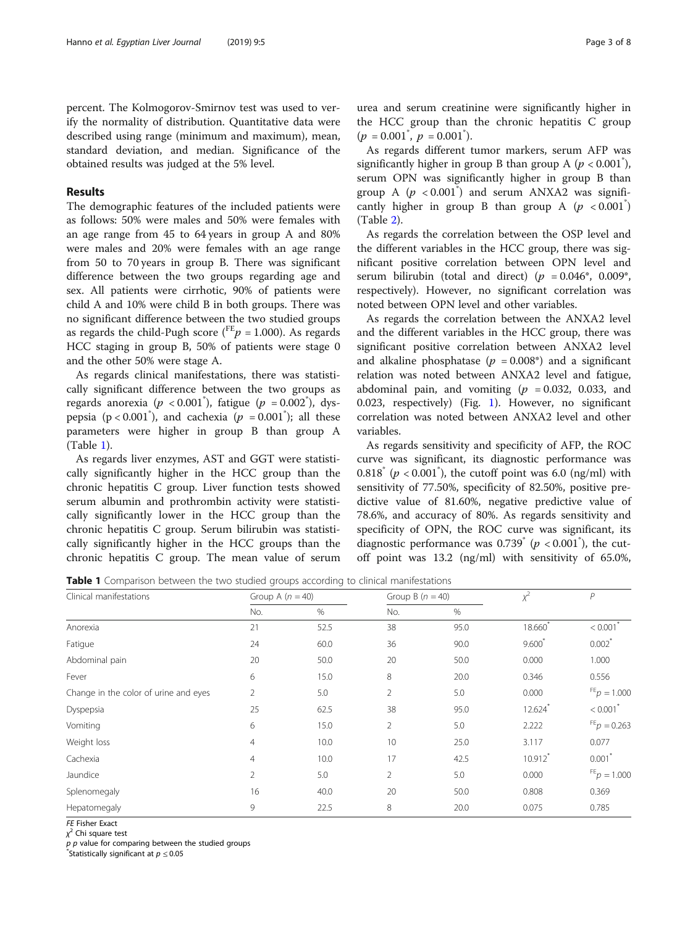percent. The Kolmogorov-Smirnov test was used to verify the normality of distribution. Quantitative data were described using range (minimum and maximum), mean, standard deviation, and median. Significance of the obtained results was judged at the 5% level.

# Results

The demographic features of the included patients were as follows: 50% were males and 50% were females with an age range from 45 to 64 years in group A and 80% were males and 20% were females with an age range from 50 to 70 years in group B. There was significant difference between the two groups regarding age and sex. All patients were cirrhotic, 90% of patients were child A and 10% were child B in both groups. There was no significant difference between the two studied groups as regards the child-Pugh score ( $^{FE}p = 1.000$ ). As regards HCC staging in group B, 50% of patients were stage 0 and the other 50% were stage A.

As regards clinical manifestations, there was statistically significant difference between the two groups as regards anorexia ( $p < 0.001$ <sup>\*</sup>), fatigue ( $p = 0.002$ <sup>\*</sup>), dyspepsia ( $p < 0.001$ <sup>\*</sup>), and cachexia ( $p = 0.001$ <sup>\*</sup>); all these parameters were higher in group B than group A (Table 1).

As regards liver enzymes, AST and GGT were statistically significantly higher in the HCC group than the chronic hepatitis C group. Liver function tests showed serum albumin and prothrombin activity were statistically significantly lower in the HCC group than the chronic hepatitis C group. Serum bilirubin was statistically significantly higher in the HCC groups than the chronic hepatitis C group. The mean value of serum urea and serum creatinine were significantly higher in the HCC group than the chronic hepatitis C group  $(p = 0.001^{\degree}, p = 0.001^{\degree}).$ 

As regards different tumor markers, serum AFP was significantly higher in group B than group A ( $p < 0.001$ <sup>\*</sup>), serum OPN was significantly higher in group B than group A  $(p < 0.001^{\degree})$  and serum ANXA2 was significantly higher in group B than group A  $(p < 0.001^*)$ (Table [2\)](#page-3-0).

As regards the correlation between the OSP level and the different variables in the HCC group, there was significant positive correlation between OPN level and serum bilirubin (total and direct) ( $p = 0.046^*$ , 0.009<sup>\*</sup>, respectively). However, no significant correlation was noted between OPN level and other variables.

As regards the correlation between the ANXA2 level and the different variables in the HCC group, there was significant positive correlation between ANXA2 level and alkaline phosphatase ( $p = 0.008^*$ ) and a significant relation was noted between ANXA2 level and fatigue, abdominal pain, and vomiting  $(p = 0.032, 0.033,$  and 0.023, respectively) (Fig. [1](#page-3-0)). However, no significant correlation was noted between ANXA2 level and other variables.

As regards sensitivity and specificity of AFP, the ROC curve was significant, its diagnostic performance was  $0.818$ <sup>\*</sup> ( $p < 0.001$ <sup>\*</sup>), the cutoff point was 6.0 (ng/ml) with sensitivity of 77.50%, specificity of 82.50%, positive predictive value of 81.60%, negative predictive value of 78.6%, and accuracy of 80%. As regards sensitivity and specificity of OPN, the ROC curve was significant, its diagnostic performance was  $0.739$ <sup>\*</sup> ( $p < 0.001$ <sup>\*</sup>), the cutoff point was 13.2 (ng/ml) with sensitivity of 65.0%,

**Table 1** Comparison between the two studied groups according to clinical manifestations

| Clinical manifestations               | Group A $(n = 40)$ |      |                | Group B $(n = 40)$ |                       | P                      |
|---------------------------------------|--------------------|------|----------------|--------------------|-----------------------|------------------------|
|                                       | No.                | $\%$ | No.            | %                  |                       |                        |
| Anorexia                              | 21                 | 52.5 | 38             | 95.0               | 18.660                | < 0.001                |
| Fatigue                               | 24                 | 60.0 | 36             | 90.0               | $9,600^*$             | $0.002$ <sup>*</sup>   |
| Abdominal pain                        | 20                 | 50.0 | 20             | 50.0               | 0.000                 | 1.000                  |
| Fever                                 | 6                  | 15.0 | 8              | 20.0               | 0.346                 | 0.556                  |
| Change in the color of urine and eyes | $\overline{2}$     | 5.0  | $\overline{2}$ | 5.0                | 0.000                 | $FE_p = 1.000$         |
| Dyspepsia                             | 25                 | 62.5 | 38             | 95.0               | $12.624$ <sup>*</sup> | $< 0.001$ <sup>*</sup> |
| Vomiting                              | 6                  | 15.0 | 2              | 5.0                | 2.222                 | $FE_p = 0.263$         |
| Weight loss                           | $\overline{4}$     | 10.0 | 10             | 25.0               | 3.117                 | 0.077                  |
| Cachexia                              | $\overline{4}$     | 10.0 | 17             | 42.5               | $10.912$ <sup>*</sup> | $0.001$ <sup>*</sup>   |
| Jaundice                              | $\overline{2}$     | 5.0  | 2              | 5.0                | 0.000                 | $FE_p = 1.000$         |
| Splenomegaly                          | 16                 | 40.0 | 20             | 50.0               | 0.808                 | 0.369                  |
| Hepatomegaly                          | 9                  | 22.5 | 8              | 20.0               | 0.075                 | 0.785                  |

FE Fisher Exact

χ<sup>2</sup> Chi square test

 $p$  p value for comparing between the studied groups

 $\check{}\,$ Statistically significant at  $p \leq 0.05$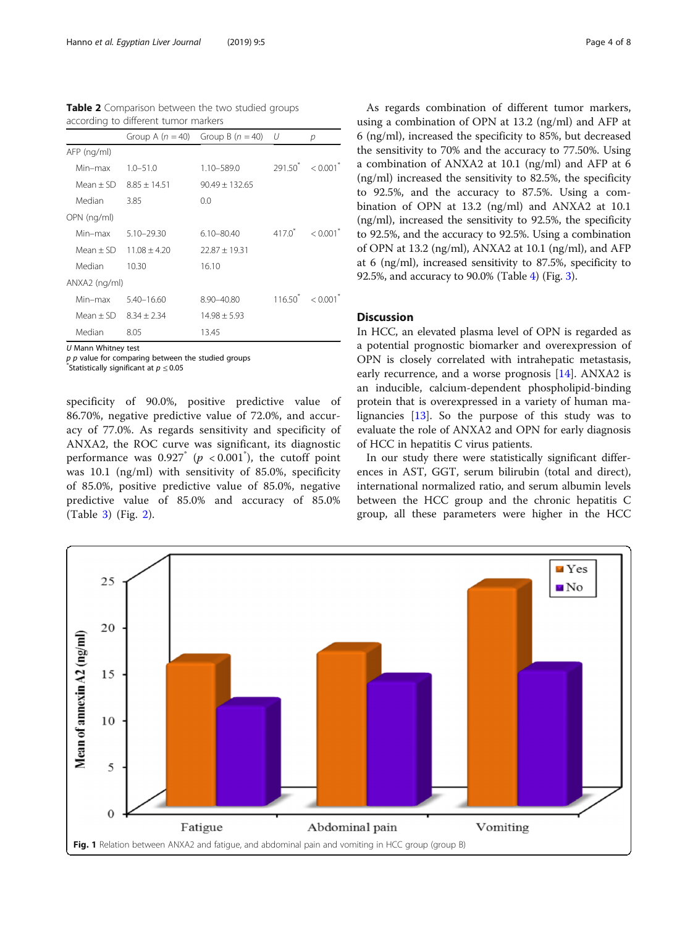<span id="page-3-0"></span>

| Table 2 Comparison between the two studied groups |  |  |  |
|---------------------------------------------------|--|--|--|
| according to different tumor markers              |  |  |  |

|               |                | Group A $(n = 40)$ Group B $(n = 40)$ | - U        | р                                |
|---------------|----------------|---------------------------------------|------------|----------------------------------|
| AFP (ng/ml)   |                |                                       |            |                                  |
| Min-max       | $1.0 - 51.0$   | 1.10-589.0                            |            | $291.50^{\circ} < 0.001^{\circ}$ |
| $Mean + SD$   | $8.85 + 14.51$ | $90.49 + 132.65$                      |            |                                  |
| Median        | 3.85           | 0.0                                   |            |                                  |
| OPN (ng/ml)   |                |                                       |            |                                  |
| Min-max       | $5.10 - 29.30$ | $6.10 - 80.40$                        | $4170^{*}$ | < 0.001                          |
| $Mean + SD$   | $11.08 + 4.20$ | $72.87 + 19.31$                       |            |                                  |
| Median        | 10.30          | 16.10                                 |            |                                  |
| ANXA2 (ng/ml) |                |                                       |            |                                  |
| Min-max       | $5.40 - 16.60$ | 8.90-40.80                            |            | $11650^{\circ} < 0.001^{\circ}$  |
| $Mean + SD$   | $8.34 + 2.34$  | $14.98 \pm 5.93$                      |            |                                  |
| Median        | 8.05           | 13.45                                 |            |                                  |

U Mann Whitney test

 $p$  p value for comparing between the studied groups

Statistically significant at  $p \leq 0.05$ 

specificity of 90.0%, positive predictive value of 86.70%, negative predictive value of 72.0%, and accuracy of 77.0%. As regards sensitivity and specificity of ANXA2, the ROC curve was significant, its diagnostic performance was  $0.927$ <sup>\*</sup> ( $p < 0.001$ <sup>\*</sup>), the cutoff point was 10.1 (ng/ml) with sensitivity of 85.0%, specificity of 85.0%, positive predictive value of 85.0%, negative predictive value of 85.0% and accuracy of 85.0% (Table [3](#page-4-0)) (Fig. [2\)](#page-4-0).

As regards combination of different tumor markers, using a combination of OPN at 13.2 (ng/ml) and AFP at 6 (ng/ml), increased the specificity to 85%, but decreased the sensitivity to 70% and the accuracy to 77.50%. Using a combination of ANXA2 at 10.1 (ng/ml) and AFP at 6 (ng/ml) increased the sensitivity to 82.5%, the specificity to 92.5%, and the accuracy to 87.5%. Using a combination of OPN at 13.2 (ng/ml) and ANXA2 at 10.1 (ng/ml), increased the sensitivity to 92.5%, the specificity to 92.5%, and the accuracy to 92.5%. Using a combination of OPN at 13.2 (ng/ml), ANXA2 at 10.1 (ng/ml), and AFP at 6 (ng/ml), increased sensitivity to 87.5%, specificity to 92.5%, and accuracy to 90.0% (Table [4](#page-5-0)) (Fig. [3\)](#page-5-0).

# **Discussion**

In HCC, an elevated plasma level of OPN is regarded as a potential prognostic biomarker and overexpression of OPN is closely correlated with intrahepatic metastasis, early recurrence, and a worse prognosis [[14\]](#page-7-0). ANXA2 is an inducible, calcium-dependent phospholipid-binding protein that is overexpressed in a variety of human malignancies [[13\]](#page-7-0). So the purpose of this study was to evaluate the role of ANXA2 and OPN for early diagnosis of HCC in hepatitis C virus patients.

In our study there were statistically significant differences in AST, GGT, serum bilirubin (total and direct), international normalized ratio, and serum albumin levels between the HCC group and the chronic hepatitis C group, all these parameters were higher in the HCC

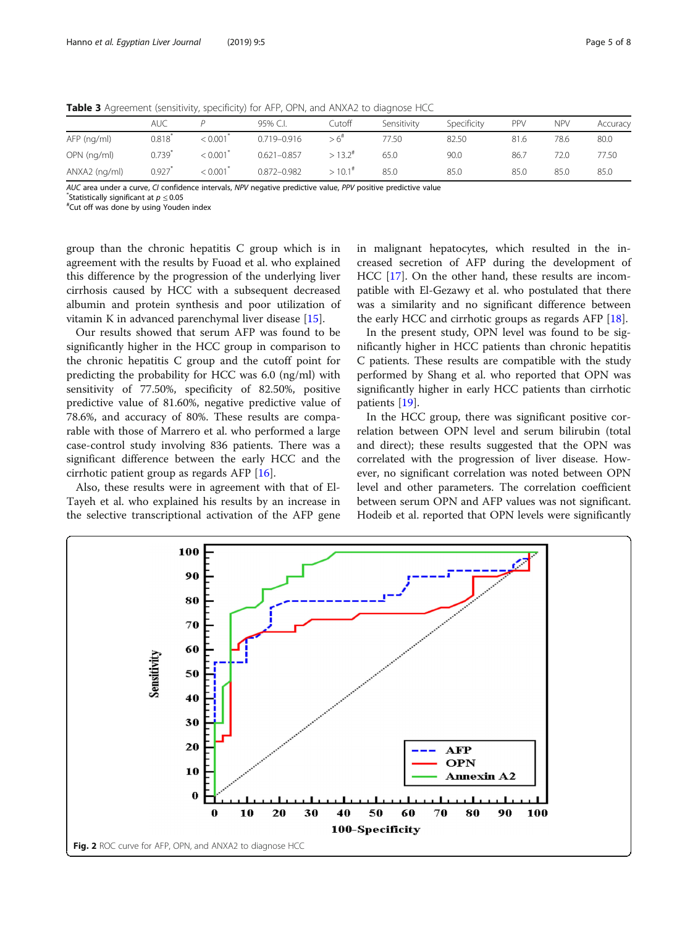|               | auc              |         | 95% C.I.        | Cutoff               | Sensitivity | Specificity | PPV  | <b>NPV</b> | Accuracy |
|---------------|------------------|---------|-----------------|----------------------|-------------|-------------|------|------------|----------|
| AFP (ng/ml)   | 0.818            | < 0.001 | $0.719 - 0.916$ | > 6 <sup>#</sup>     | 77.50       | 82.50       | 81.6 | 78.6       | 80.0     |
| OPN (ng/ml)   | 0.739 $^{\circ}$ | 0.001   | $0.621 - 0.857$ | $>13.2^{\#}$         | 65.0        | 90.0        | 86.7 | 72.0       | 77.50    |
| ANXA2 (ng/ml) | 0.927            | < 0.001 | $0.872 - 0.982$ | $>10.1$ <sup>#</sup> | 85.0        | 85.0        | 85.0 | 85.0       | 85.0     |

<span id="page-4-0"></span>Table 3 Agreement (sensitivity, specificity) for AFP, OPN, and ANXA2 to diagnose HCC

AUC area under a curve, CI confidence intervals, NPV negative predictive value, PPV positive predictive value

Statistically significant at  $p \leq 0.05$ 

Cut off was done by using Youden index

group than the chronic hepatitis C group which is in agreement with the results by Fuoad et al. who explained this difference by the progression of the underlying liver cirrhosis caused by HCC with a subsequent decreased albumin and protein synthesis and poor utilization of vitamin K in advanced parenchymal liver disease [\[15](#page-7-0)].

Our results showed that serum AFP was found to be significantly higher in the HCC group in comparison to the chronic hepatitis C group and the cutoff point for predicting the probability for HCC was 6.0 (ng/ml) with sensitivity of 77.50%, specificity of 82.50%, positive predictive value of 81.60%, negative predictive value of 78.6%, and accuracy of 80%. These results are comparable with those of Marrero et al. who performed a large case-control study involving 836 patients. There was a significant difference between the early HCC and the cirrhotic patient group as regards AFP [\[16](#page-7-0)].

Also, these results were in agreement with that of El-Tayeh et al. who explained his results by an increase in the selective transcriptional activation of the AFP gene in malignant hepatocytes, which resulted in the increased secretion of AFP during the development of HCC [[17](#page-7-0)]. On the other hand, these results are incompatible with El-Gezawy et al. who postulated that there was a similarity and no significant difference between the early HCC and cirrhotic groups as regards AFP [[18\]](#page-7-0).

In the present study, OPN level was found to be significantly higher in HCC patients than chronic hepatitis C patients. These results are compatible with the study performed by Shang et al. who reported that OPN was significantly higher in early HCC patients than cirrhotic patients [[19\]](#page-7-0).

In the HCC group, there was significant positive correlation between OPN level and serum bilirubin (total and direct); these results suggested that the OPN was correlated with the progression of liver disease. However, no significant correlation was noted between OPN level and other parameters. The correlation coefficient between serum OPN and AFP values was not significant. Hodeib et al. reported that OPN levels were significantly

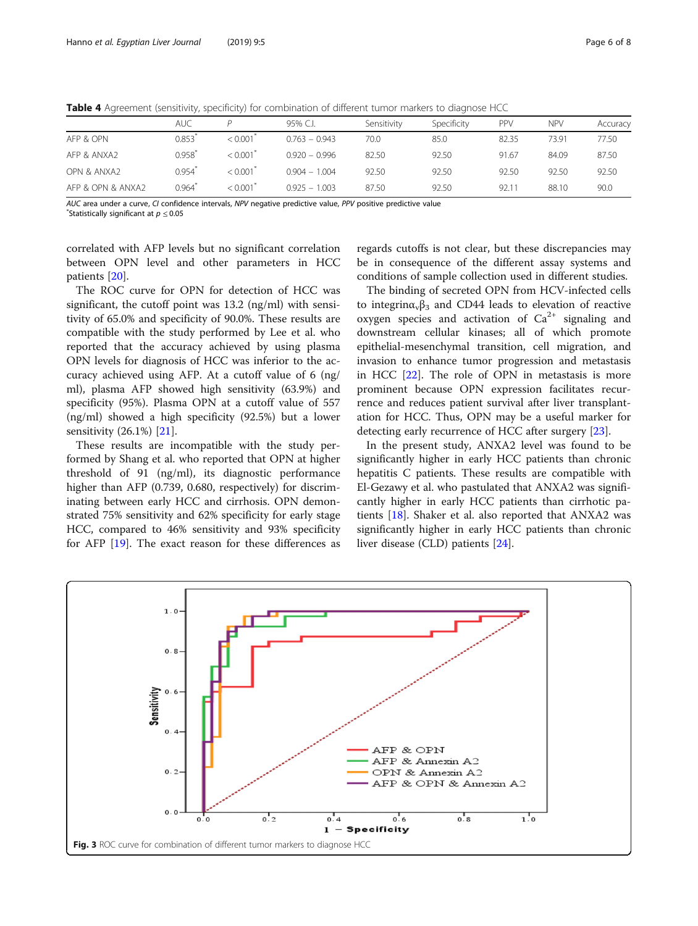|                   | <b>AUC</b> |                        | 95% C.I.        | Sensitivity | Specificity | PPV   | <b>NPV</b> | Accuracy |
|-------------------|------------|------------------------|-----------------|-------------|-------------|-------|------------|----------|
| AFP & OPN         | 0.853      | < 0.001                | $0.763 - 0.943$ | 70.0        | 85.0        | 82.35 | 73.91      | 77.50    |
| AFP & ANXA2       | 0.958      | < 0.001                | $0.920 - 0.996$ | 82.50       | 92.50       | 91.67 | 84.09      | 87.50    |
| OPN & ANXA2       | 0.954      | $< 0.001$ <sup>*</sup> | $0.904 - 1.004$ | 92.50       | 92.50       | 92.50 | 92.50      | 92.50    |
| AFP & OPN & ANXA2 | 0.964      | < 0.001                | $0.925 - 1.003$ | 87.50       | 92.50       | 92.11 | 88.10      | 90.0     |

<span id="page-5-0"></span>Table 4 Agreement (sensitivity, specificity) for combination of different tumor markers to diagnose HCC

AUC area under a curve, CI confidence intervals, NPV negative predictive value, PPV positive predictive value

 $\mathrm{``Statistical}$ lv significant at  $p < 0.05$ 

correlated with AFP levels but no significant correlation between OPN level and other parameters in HCC patients [[20\]](#page-7-0).

The ROC curve for OPN for detection of HCC was significant, the cutoff point was 13.2 (ng/ml) with sensitivity of 65.0% and specificity of 90.0%. These results are compatible with the study performed by Lee et al. who reported that the accuracy achieved by using plasma OPN levels for diagnosis of HCC was inferior to the accuracy achieved using AFP. At a cutoff value of 6 (ng/ ml), plasma AFP showed high sensitivity (63.9%) and specificity (95%). Plasma OPN at a cutoff value of 557 (ng/ml) showed a high specificity (92.5%) but a lower sensitivity (26.1%) [\[21\]](#page-7-0).

These results are incompatible with the study performed by Shang et al. who reported that OPN at higher threshold of 91 (ng/ml), its diagnostic performance higher than AFP (0.739, 0.680, respectively) for discriminating between early HCC and cirrhosis. OPN demonstrated 75% sensitivity and 62% specificity for early stage HCC, compared to 46% sensitivity and 93% specificity for AFP [\[19](#page-7-0)]. The exact reason for these differences as

regards cutoffs is not clear, but these discrepancies may be in consequence of the different assay systems and conditions of sample collection used in different studies.

The binding of secreted OPN from HCV-infected cells to integring<sub>v</sub> $\beta_3$  and CD44 leads to elevation of reactive oxygen species and activation of  $Ca^{2+}$  signaling and downstream cellular kinases; all of which promote epithelial-mesenchymal transition, cell migration, and invasion to enhance tumor progression and metastasis in HCC [[22](#page-7-0)]. The role of OPN in metastasis is more prominent because OPN expression facilitates recurrence and reduces patient survival after liver transplantation for HCC. Thus, OPN may be a useful marker for detecting early recurrence of HCC after surgery [\[23](#page-7-0)].

In the present study, ANXA2 level was found to be significantly higher in early HCC patients than chronic hepatitis C patients. These results are compatible with El-Gezawy et al. who pastulated that ANXA2 was significantly higher in early HCC patients than cirrhotic patients [\[18\]](#page-7-0). Shaker et al. also reported that ANXA2 was significantly higher in early HCC patients than chronic liver disease (CLD) patients [[24](#page-7-0)].

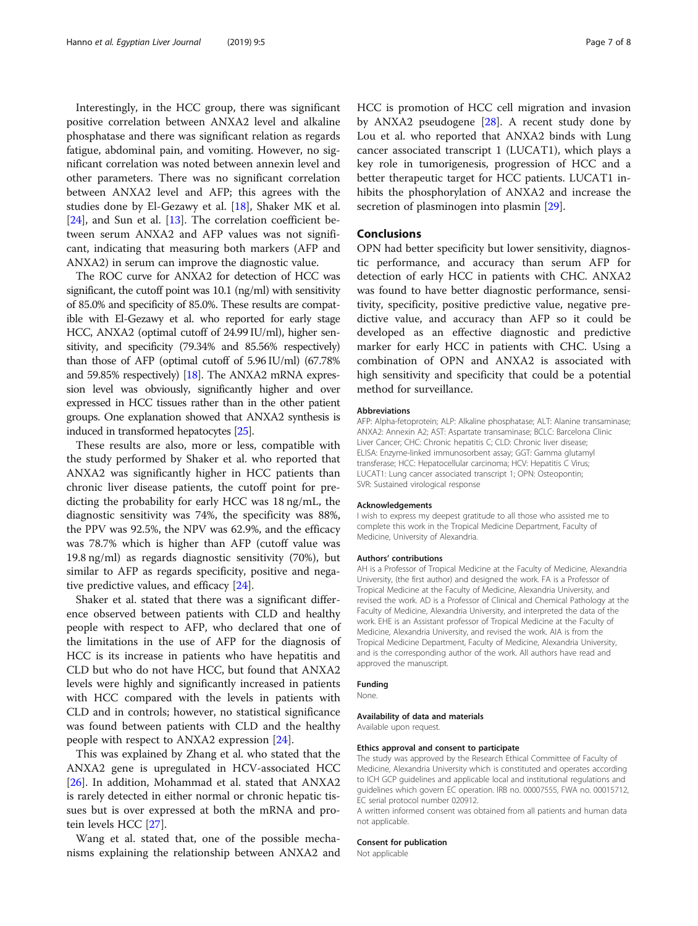Interestingly, in the HCC group, there was significant positive correlation between ANXA2 level and alkaline phosphatase and there was significant relation as regards fatigue, abdominal pain, and vomiting. However, no significant correlation was noted between annexin level and other parameters. There was no significant correlation between ANXA2 level and AFP; this agrees with the studies done by El-Gezawy et al. [\[18](#page-7-0)], Shaker MK et al. [[24\]](#page-7-0), and Sun et al. [\[13](#page-7-0)]. The correlation coefficient between serum ANXA2 and AFP values was not significant, indicating that measuring both markers (AFP and ANXA2) in serum can improve the diagnostic value.

The ROC curve for ANXA2 for detection of HCC was significant, the cutoff point was 10.1 (ng/ml) with sensitivity of 85.0% and specificity of 85.0%. These results are compatible with El-Gezawy et al. who reported for early stage HCC, ANXA2 (optimal cutoff of 24.99 IU/ml), higher sensitivity, and specificity (79.34% and 85.56% respectively) than those of AFP (optimal cutoff of 5.96 IU/ml) (67.78% and 59.85% respectively) [\[18\]](#page-7-0). The ANXA2 mRNA expression level was obviously, significantly higher and over expressed in HCC tissues rather than in the other patient groups. One explanation showed that ANXA2 synthesis is induced in transformed hepatocytes [[25\]](#page-7-0).

These results are also, more or less, compatible with the study performed by Shaker et al. who reported that ANXA2 was significantly higher in HCC patients than chronic liver disease patients, the cutoff point for predicting the probability for early HCC was 18 ng/mL, the diagnostic sensitivity was 74%, the specificity was 88%, the PPV was 92.5%, the NPV was 62.9%, and the efficacy was 78.7% which is higher than AFP (cutoff value was 19.8 ng/ml) as regards diagnostic sensitivity (70%), but similar to AFP as regards specificity, positive and negative predictive values, and efficacy [[24](#page-7-0)].

Shaker et al. stated that there was a significant difference observed between patients with CLD and healthy people with respect to AFP, who declared that one of the limitations in the use of AFP for the diagnosis of HCC is its increase in patients who have hepatitis and CLD but who do not have HCC, but found that ANXA2 levels were highly and significantly increased in patients with HCC compared with the levels in patients with CLD and in controls; however, no statistical significance was found between patients with CLD and the healthy people with respect to ANXA2 expression [[24\]](#page-7-0).

This was explained by Zhang et al. who stated that the ANXA2 gene is upregulated in HCV-associated HCC [[26\]](#page-7-0). In addition, Mohammad et al. stated that ANXA2 is rarely detected in either normal or chronic hepatic tissues but is over expressed at both the mRNA and protein levels HCC [\[27](#page-7-0)].

Wang et al. stated that, one of the possible mechanisms explaining the relationship between ANXA2 and HCC is promotion of HCC cell migration and invasion by ANXA2 pseudogene [[28\]](#page-7-0). A recent study done by Lou et al. who reported that ANXA2 binds with Lung cancer associated transcript 1 (LUCAT1), which plays a key role in tumorigenesis, progression of HCC and a better therapeutic target for HCC patients. LUCAT1 inhibits the phosphorylation of ANXA2 and increase the secretion of plasminogen into plasmin [[29](#page-7-0)].

## Conclusions

OPN had better specificity but lower sensitivity, diagnostic performance, and accuracy than serum AFP for detection of early HCC in patients with CHC. ANXA2 was found to have better diagnostic performance, sensitivity, specificity, positive predictive value, negative predictive value, and accuracy than AFP so it could be developed as an effective diagnostic and predictive marker for early HCC in patients with CHC. Using a combination of OPN and ANXA2 is associated with high sensitivity and specificity that could be a potential method for surveillance.

#### Abbreviations

AFP: Alpha-fetoprotein; ALP: Alkaline phosphatase; ALT: Alanine transaminase; ANXA2: Annexin A2; AST: Aspartate transaminase; BCLC: Barcelona Clinic Liver Cancer; CHC: Chronic hepatitis C; CLD: Chronic liver disease; ELISA: Enzyme-linked immunosorbent assay; GGT: Gamma glutamyl transferase; HCC: Hepatocellular carcinoma; HCV: Hepatitis C Virus; LUCAT1: Lung cancer associated transcript 1; OPN: Osteopontin; SVR: Sustained virological response

#### Acknowledgements

I wish to express my deepest gratitude to all those who assisted me to complete this work in the Tropical Medicine Department, Faculty of Medicine, University of Alexandria.

#### Authors' contributions

AH is a Professor of Tropical Medicine at the Faculty of Medicine, Alexandria University, (the first author) and designed the work. FA is a Professor of Tropical Medicine at the Faculty of Medicine, Alexandria University, and revised the work. AD is a Professor of Clinical and Chemical Pathology at the Faculty of Medicine, Alexandria University, and interpreted the data of the work. EHE is an Assistant professor of Tropical Medicine at the Faculty of Medicine, Alexandria University, and revised the work. AIA is from the Tropical Medicine Department, Faculty of Medicine, Alexandria University, and is the corresponding author of the work. All authors have read and approved the manuscript.

### Funding

None.

Availability of data and materials

#### Available upon request.

#### Ethics approval and consent to participate

The study was approved by the Research Ethical Committee of Faculty of Medicine, Alexandria University which is constituted and operates according to ICH GCP guidelines and applicable local and institutional regulations and guidelines which govern EC operation. IRB no. 00007555, FWA no. 00015712, EC serial protocol number 020912.

A written informed consent was obtained from all patients and human data not applicable.

#### Consent for publication

Not applicable